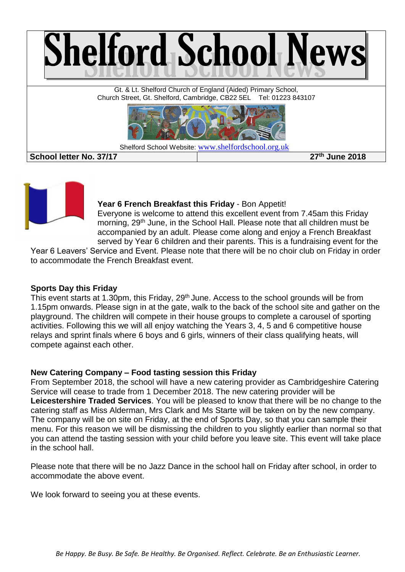

**S School letter No. 37/17 27th June 2018**



#### **Year 6 French Breakfast this Friday** - Bon Appetit!

Everyone is welcome to attend this excellent event from 7.45am this Friday morning, 29<sup>th</sup> June, in the School Hall. Please note that all children must be accompanied by an adult. Please come along and enjoy a French Breakfast served by Year 6 children and their parents. This is a fundraising event for the

Year 6 Leavers' Service and Event. Please note that there will be no choir club on Friday in order to accommodate the French Breakfast event.

### **Sports Day this Friday**

This event starts at 1.30pm, this Friday, 29<sup>th</sup> June. Access to the school grounds will be from 1.15pm onwards. Please sign in at the gate, walk to the back of the school site and gather on the playground. The children will compete in their house groups to complete a carousel of sporting activities. Following this we will all enjoy watching the Years 3, 4, 5 and 6 competitive house relays and sprint finals where 6 boys and 6 girls, winners of their class qualifying heats, will compete against each other.

### **New Catering Company – Food tasting session this Friday**

From September 2018, the school will have a new catering provider as Cambridgeshire Catering Service will cease to trade from 1 December 2018. The new catering provider will be **Leicestershire Traded Services**. You will be pleased to know that there will be no change to the catering staff as Miss Alderman, Mrs Clark and Ms Starte will be taken on by the new company. The company will be on site on Friday, at the end of Sports Day, so that you can sample their menu. For this reason we will be dismissing the children to you slightly earlier than normal so that you can attend the tasting session with your child before you leave site. This event will take place in the school hall.

Please note that there will be no Jazz Dance in the school hall on Friday after school, in order to accommodate the above event.

We look forward to seeing you at these events.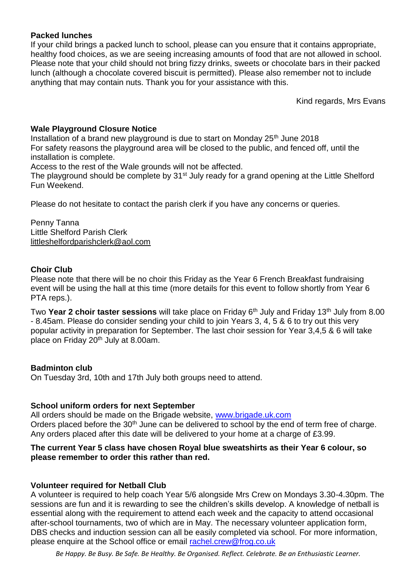# **Packed lunches**

If your child brings a packed lunch to school, please can you ensure that it contains appropriate, healthy food choices, as we are seeing increasing amounts of food that are not allowed in school. Please note that your child should not bring fizzy drinks, sweets or chocolate bars in their packed lunch (although a chocolate covered biscuit is permitted). Please also remember not to include anything that may contain nuts. Thank you for your assistance with this.

Kind regards, Mrs Evans

# **Wale Playground Closure Notice**

Installation of a brand new playground is due to start on Monday  $25<sup>th</sup>$  June 2018 For safety reasons the playground area will be closed to the public, and fenced off, until the installation is complete.

Access to the rest of the Wale grounds will not be affected.

The playground should be complete by 31<sup>st</sup> July ready for a grand opening at the Little Shelford Fun Weekend.

Please do not hesitate to contact the parish clerk if you have any concerns or queries.

Penny Tanna Little Shelford Parish Clerk [littleshelfordparishclerk@aol.com](mailto:littleshelfordparishclerk@aol.com)

# **Choir Club**

Please note that there will be no choir this Friday as the Year 6 French Breakfast fundraising event will be using the hall at this time (more details for this event to follow shortly from Year 6 PTA reps.).

Two **Year 2 choir taster sessions** will take place on Friday 6th July and Friday 13th July from 8.00 - 8.45am. Please do consider sending your child to join Years 3, 4, 5 & 6 to try out this very popular activity in preparation for September. The last choir session for Year 3,4,5 & 6 will take place on Friday 20th July at 8.00am.

### **Badminton club**

On Tuesday 3rd, 10th and 17th July both groups need to attend.

### **School uniform orders for next September**

All orders should be made on the Brigade website, [www.brigade.uk.com](http://www.brigade.uk.com/) Orders placed before the 30<sup>th</sup> June can be delivered to school by the end of term free of charge. Any orders placed after this date will be delivered to your home at a charge of £3.99.

### **The current Year 5 class have chosen Royal blue sweatshirts as their Year 6 colour, so please remember to order this rather than red.**

### **Volunteer required for Netball Club**

A volunteer is required to help coach Year 5/6 alongside Mrs Crew on Mondays 3.30-4.30pm. The sessions are fun and it is rewarding to see the children's skills develop. A knowledge of netball is essential along with the requirement to attend each week and the capacity to attend occasional after-school tournaments, two of which are in May. The necessary volunteer application form, DBS checks and induction session can all be easily completed via school. For more information, please enquire at the School office or email [rachel.crew@frog.co.uk](mailto:rachel.crew@frog.co.uk)

*Be Happy. Be Busy. Be Safe. Be Healthy. Be Organised. Reflect. Celebrate. Be an Enthusiastic Learner.*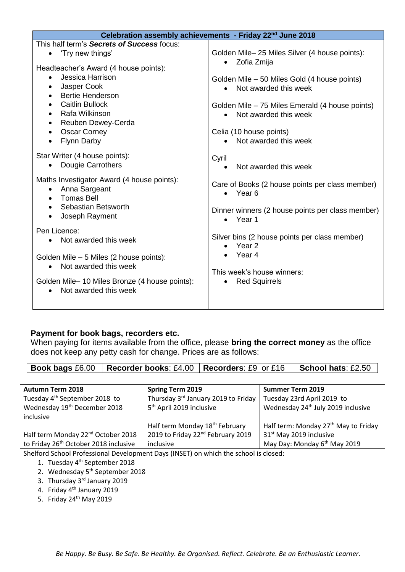| Celebration assembly achievements - Friday 22 <sup>nd</sup> June 2018                                                                                                                                                                                                                                         |                                                                                                                                                                                                                                   |  |
|---------------------------------------------------------------------------------------------------------------------------------------------------------------------------------------------------------------------------------------------------------------------------------------------------------------|-----------------------------------------------------------------------------------------------------------------------------------------------------------------------------------------------------------------------------------|--|
| This half term's Secrets of Success focus:                                                                                                                                                                                                                                                                    |                                                                                                                                                                                                                                   |  |
| 'Try new things'<br>$\bullet$                                                                                                                                                                                                                                                                                 | Golden Mile- 25 Miles Silver (4 house points):<br>Zofia Zmija<br>$\bullet$                                                                                                                                                        |  |
| Headteacher's Award (4 house points):<br>Jessica Harrison<br>$\bullet$<br>Jasper Cook<br>$\bullet$<br><b>Bertie Henderson</b><br>$\bullet$<br><b>Caitlin Bullock</b><br>Rafa Wilkinson<br>$\bullet$<br>Reuben Dewey-Cerda<br>$\bullet$<br><b>Oscar Corney</b><br>$\bullet$<br><b>Flynn Darby</b><br>$\bullet$ | Golden Mile – 50 Miles Gold (4 house points)<br>Not awarded this week<br>$\bullet$<br>Golden Mile – 75 Miles Emerald (4 house points)<br>Not awarded this week<br>$\bullet$<br>Celia (10 house points)<br>• Not awarded this week |  |
| Star Writer (4 house points):<br>Dougie Carrothers<br>$\bullet$                                                                                                                                                                                                                                               | Cyril<br>Not awarded this week<br>$\bullet$                                                                                                                                                                                       |  |
| Maths Investigator Award (4 house points):<br>Anna Sargeant<br>$\bullet$<br><b>Tomas Bell</b><br>$\bullet$<br>Sebastian Betsworth<br>Joseph Rayment<br>$\bullet$                                                                                                                                              | Care of Books (2 house points per class member)<br>Year <sub>6</sub><br>$\bullet$<br>Dinner winners (2 house points per class member)<br>$\bullet$ Year 1                                                                         |  |
| Pen Licence:<br>Not awarded this week<br>$\bullet$<br>Golden Mile - 5 Miles (2 house points):<br>Not awarded this week<br>$\bullet$<br>Golden Mile-10 Miles Bronze (4 house points):<br>Not awarded this week<br>$\bullet$                                                                                    | Silver bins (2 house points per class member)<br>Year <sub>2</sub><br>Year 4<br>This week's house winners:<br><b>Red Squirrels</b><br>$\bullet$                                                                                   |  |
|                                                                                                                                                                                                                                                                                                               |                                                                                                                                                                                                                                   |  |

# **Payment for book bags, recorders etc.**

When paying for items available from the office, please **bring the correct money** as the office does not keep any petty cash for change. Prices are as follows:

**Book bags** £6.00 **Recorder books**: £4.00 **Recorders**: £9 or £16 **School hats**: £2.50

| <b>Autumn Term 2018</b>                                                              | <b>Spring Term 2019</b>                       | <b>Summer Term 2019</b>                          |  |
|--------------------------------------------------------------------------------------|-----------------------------------------------|--------------------------------------------------|--|
| Tuesday 4 <sup>th</sup> September 2018 to                                            | Thursday 3rd January 2019 to Friday           | Tuesday 23rd April 2019 to                       |  |
| Wednesday 19 <sup>th</sup> December 2018                                             | 5 <sup>th</sup> April 2019 inclusive          | Wednesday 24 <sup>th</sup> July 2019 inclusive   |  |
| inclusive                                                                            |                                               |                                                  |  |
|                                                                                      | Half term Monday 18 <sup>th</sup> February    | Half term: Monday 27 <sup>th</sup> May to Friday |  |
| Half term Monday 22 <sup>nd</sup> October 2018                                       | 2019 to Friday 22 <sup>nd</sup> February 2019 | 31 <sup>st</sup> May 2019 inclusive              |  |
| to Friday 26 <sup>th</sup> October 2018 inclusive                                    | inclusive                                     | May Day: Monday 6 <sup>th</sup> May 2019         |  |
| Shelford School Professional Development Days (INSET) on which the school is closed: |                                               |                                                  |  |
| 1. Tuesday 4 <sup>th</sup> September 2018                                            |                                               |                                                  |  |
| 2. Wednesday 5 <sup>th</sup> September 2018                                          |                                               |                                                  |  |
| 3. Thursday 3rd January 2019                                                         |                                               |                                                  |  |
| 4. Friday 4 <sup>th</sup> January 2019                                               |                                               |                                                  |  |
|                                                                                      |                                               |                                                  |  |

5. Friday  $24<sup>th</sup>$  May 2019